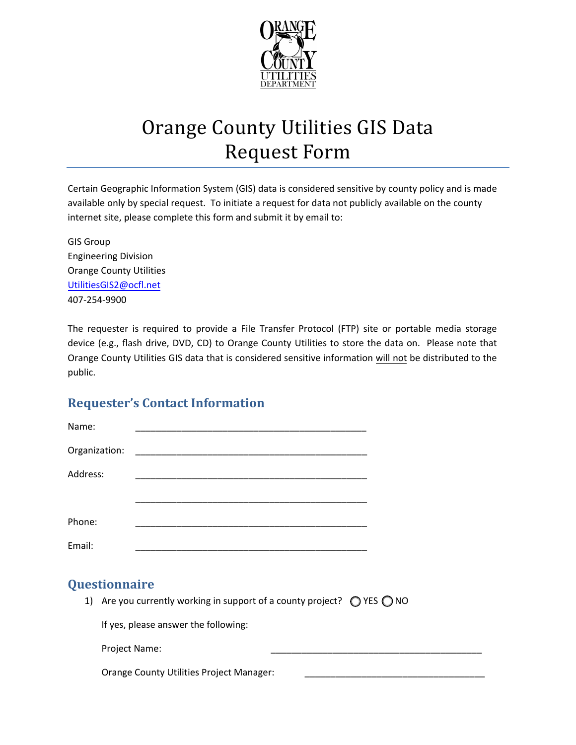

## Orange County Utilities GIS Data Request Form

Certain Geographic Information System (GIS) data is considered sensitive by county policy and is made available only by special request. To initiate a request for data not publicly available on the county internet site, please complete this form and submit it by email to:

GIS Group Engineering Division Orange County Utilities [UtilitiesGIS2@ocfl.net](mailto:UtilitiesGIS2@ocfl.net) 407-254-9900

The requester is required to provide a File Transfer Protocol (FTP) site or portable media storage device (e.g., flash drive, DVD, CD) to Orange County Utilities to store the data on. Please note that Orange County Utilities GIS data that is considered sensitive information will not be distributed to the public.

## **Requester's Contact Information**

| Name:         |                                                             |  |
|---------------|-------------------------------------------------------------|--|
| Organization: |                                                             |  |
| Address:      | <u> 1980 - Johann Stoff, amerikansk politiker (d. 1980)</u> |  |
|               |                                                             |  |
| Phone:        | <u> 1989 - Johann Stoff, amerikansk politiker (d. 1989)</u> |  |
| Email:        |                                                             |  |

## **Questionnaire**

1) Are you currently working in support of a county project?  $\bigcirc$  YES  $\bigcirc$  NO

If yes, please answer the following:

Project Name:

Orange County Utilities Project Manager: